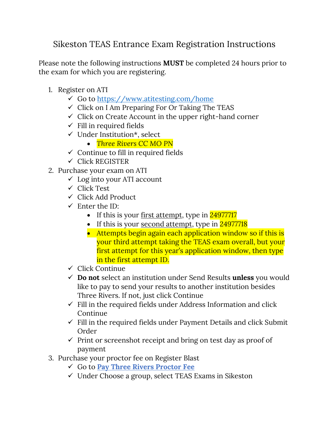Sikeston TEAS Entrance Exam Registration Instructions

Please note the following instructions **MUST** be completed 24 hours prior to the exam for which you are registering.

- 1. Register on ATI
	- ✓ Go to<https://www.atitesting.com/home>
	- $\checkmark$  Click on I Am Preparing For Or Taking The TEAS
	- $\checkmark$  Click on Create Account in the upper right-hand corner
	- $\checkmark$  Fill in required fields
	- ✓ Under Institution\*, select
		- *Three Rivers CC MO PN*
	- $\checkmark$  Continue to fill in required fields
	- $\checkmark$  Click REGISTER
- 2. Purchase your exam on ATI
	- $\checkmark$  Log into your ATI account
	- ✓ Click Test
	- ✓ Click Add Product
	- $\checkmark$  Enter the ID:
		- If this is your <u>first attempt</u>, type in  $24977717$
		- If this is your second attempt, type in 24977718
		- Attempts begin again each application window so if this is your third attempt taking the TEAS exam overall, but your first attempt for this year's application window, then type in the first attempt ID.
	- ✓ Click Continue
	- ✓ **Do not** select an institution under Send Results **unless** you would like to pay to send your results to another institution besides Three Rivers. If not, just click Continue
	- $\checkmark$  Fill in the required fields under Address Information and click Continue
	- $\checkmark$  Fill in the required fields under Payment Details and click Submit Order
	- $\checkmark$  Print or screenshot receipt and bring on test day as proof of payment
- 3. Purchase your proctor fee on Register Blast
	- ✓ Go to **[Pay Three Rivers Proctor Fee](https://www.registerblast.com/threerivers/Exam/List)**
	- ✓ Under Choose a group, select TEAS Exams in Sikeston